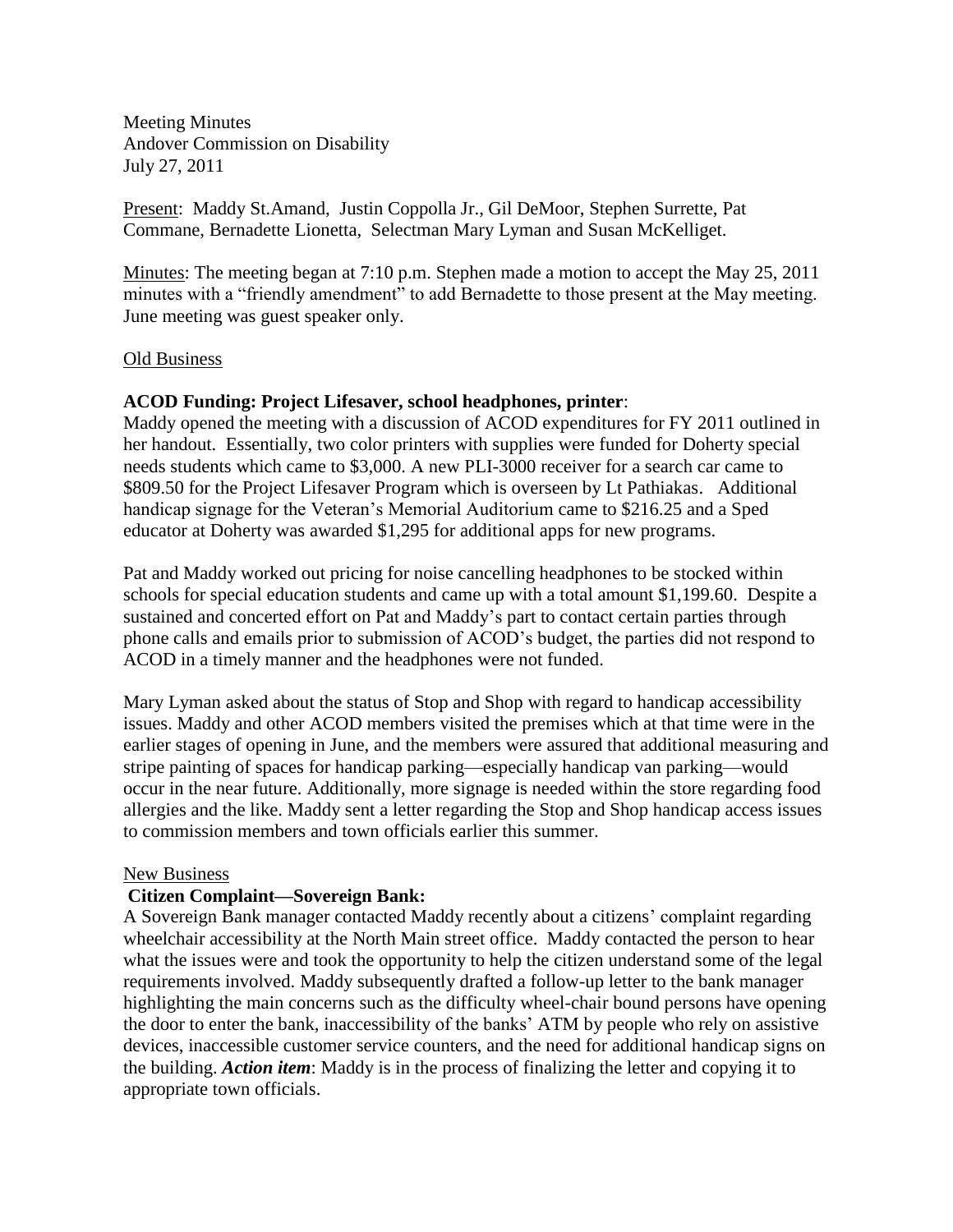Meeting Minutes Andover Commission on Disability July 27, 2011

Present: Maddy St.Amand, Justin Coppolla Jr., Gil DeMoor, Stephen Surrette, Pat Commane, Bernadette Lionetta, Selectman Mary Lyman and Susan McKelliget.

Minutes: The meeting began at 7:10 p.m. Stephen made a motion to accept the May 25, 2011 minutes with a "friendly amendment" to add Bernadette to those present at the May meeting. June meeting was guest speaker only.

### Old Business

## **ACOD Funding: Project Lifesaver, school headphones, printer**:

Maddy opened the meeting with a discussion of ACOD expenditures for FY 2011 outlined in her handout. Essentially, two color printers with supplies were funded for Doherty special needs students which came to \$3,000. A new PLI-3000 receiver for a search car came to \$809.50 for the Project Lifesaver Program which is overseen by Lt Pathiakas. Additional handicap signage for the Veteran's Memorial Auditorium came to \$216.25 and a Sped educator at Doherty was awarded \$1,295 for additional apps for new programs.

Pat and Maddy worked out pricing for noise cancelling headphones to be stocked within schools for special education students and came up with a total amount \$1,199.60. Despite a sustained and concerted effort on Pat and Maddy's part to contact certain parties through phone calls and emails prior to submission of ACOD's budget, the parties did not respond to ACOD in a timely manner and the headphones were not funded.

Mary Lyman asked about the status of Stop and Shop with regard to handicap accessibility issues. Maddy and other ACOD members visited the premises which at that time were in the earlier stages of opening in June, and the members were assured that additional measuring and stripe painting of spaces for handicap parking—especially handicap van parking—would occur in the near future. Additionally, more signage is needed within the store regarding food allergies and the like. Maddy sent a letter regarding the Stop and Shop handicap access issues to commission members and town officials earlier this summer.

#### New Business

## **Citizen Complaint—Sovereign Bank:**

A Sovereign Bank manager contacted Maddy recently about a citizens' complaint regarding wheelchair accessibility at the North Main street office. Maddy contacted the person to hear what the issues were and took the opportunity to help the citizen understand some of the legal requirements involved. Maddy subsequently drafted a follow-up letter to the bank manager highlighting the main concerns such as the difficulty wheel-chair bound persons have opening the door to enter the bank, inaccessibility of the banks' ATM by people who rely on assistive devices, inaccessible customer service counters, and the need for additional handicap signs on the building. *Action item*: Maddy is in the process of finalizing the letter and copying it to appropriate town officials.